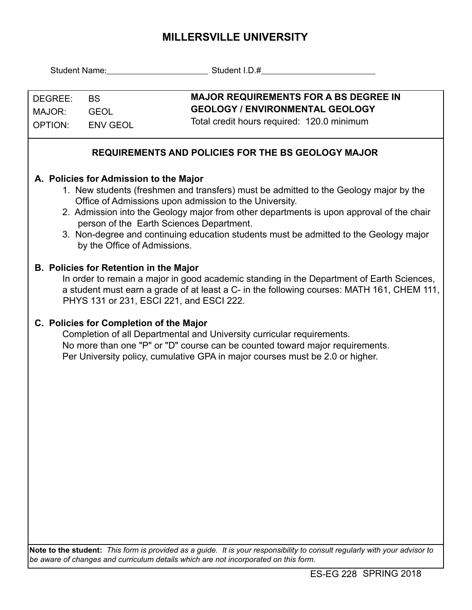## **MILLERSVILLE UNIVERSITY**

|                                                                                                                                                                                                                                                                                                                                                                                                                                                            | Student Name: Student I.D.#                                                                                                                                                                                                                                                        |  |  |  |  |  |  |
|------------------------------------------------------------------------------------------------------------------------------------------------------------------------------------------------------------------------------------------------------------------------------------------------------------------------------------------------------------------------------------------------------------------------------------------------------------|------------------------------------------------------------------------------------------------------------------------------------------------------------------------------------------------------------------------------------------------------------------------------------|--|--|--|--|--|--|
| DEGREE:<br><b>BS</b><br>MAJOR:<br><b>OPTION:</b>                                                                                                                                                                                                                                                                                                                                                                                                           | <b>MAJOR REQUIREMENTS FOR A BS DEGREE IN</b><br><b>GEOLOGY / ENVIRONMENTAL GEOLOGY</b><br><b>GEOL</b><br>Total credit hours required: 120.0 minimum<br><b>ENV GEOL</b>                                                                                                             |  |  |  |  |  |  |
| <b>REQUIREMENTS AND POLICIES FOR THE BS GEOLOGY MAJOR</b>                                                                                                                                                                                                                                                                                                                                                                                                  |                                                                                                                                                                                                                                                                                    |  |  |  |  |  |  |
| A. Policies for Admission to the Major<br>1. New students (freshmen and transfers) must be admitted to the Geology major by the<br>Office of Admissions upon admission to the University.<br>2. Admission into the Geology major from other departments is upon approval of the chair<br>person of the Earth Sciences Department.<br>3. Non-degree and continuing education students must be admitted to the Geology major<br>by the Office of Admissions. |                                                                                                                                                                                                                                                                                    |  |  |  |  |  |  |
| <b>B. Policies for Retention in the Major</b><br>In order to remain a major in good academic standing in the Department of Earth Sciences,<br>a student must earn a grade of at least a C- in the following courses: MATH 161, CHEM 111,<br>PHYS 131 or 231, ESCI 221, and ESCI 222.                                                                                                                                                                       |                                                                                                                                                                                                                                                                                    |  |  |  |  |  |  |
|                                                                                                                                                                                                                                                                                                                                                                                                                                                            | C. Policies for Completion of the Major<br>Completion of all Departmental and University curricular requirements.<br>No more than one "P" or "D" course can be counted toward major requirements.<br>Per University policy, cumulative GPA in major courses must be 2.0 or higher. |  |  |  |  |  |  |
| Note to the student: This form is provided as a guide. It is your responsibility to consult regularly with your advisor to<br>be aware of changes and curriculum details which are not incorporated on this form.                                                                                                                                                                                                                                          |                                                                                                                                                                                                                                                                                    |  |  |  |  |  |  |